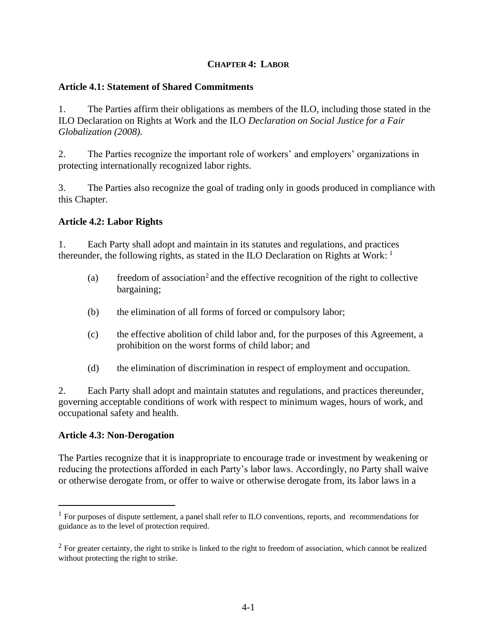# **CHAPTER 4: LABOR**

### **Article 4.1: Statement of Shared Commitments**

1. The Parties affirm their obligations as members of the ILO, including those stated in the ILO Declaration on Rights at Work and the ILO *Declaration on Social Justice for a Fair Globalization (2008).* 

2. The Parties recognize the important role of workers' and employers' organizations in protecting internationally recognized labor rights.

3. The Parties also recognize the goal of trading only in goods produced in compliance with this Chapter.

### **Article 4.2: Labor Rights**

1. Each Party shall adopt and maintain in its statutes and regulations, and practices thereunder, the following rights, as stated in the ILO Declaration on Rights at Work:  $<sup>1</sup>$ </sup>

- (a) freedom of association<sup>2</sup> and the effective recognition of the right to collective bargaining;
- (b) the elimination of all forms of forced or compulsory labor;
- (c) the effective abolition of child labor and, for the purposes of this Agreement, a prohibition on the worst forms of child labor; and
- (d) the elimination of discrimination in respect of employment and occupation.

2. Each Party shall adopt and maintain statutes and regulations, and practices thereunder, governing acceptable conditions of work with respect to minimum wages, hours of work, and occupational safety and health.

### **Article 4.3: Non-Derogation**

The Parties recognize that it is inappropriate to encourage trade or investment by weakening or reducing the protections afforded in each Party's labor laws. Accordingly, no Party shall waive or otherwise derogate from, or offer to waive or otherwise derogate from, its labor laws in a

<sup>&</sup>lt;sup>1</sup> For purposes of dispute settlement, a panel shall refer to ILO conventions, reports, and recommendations for guidance as to the level of protection required.

<sup>&</sup>lt;sup>2</sup> For greater certainty, the right to strike is linked to the right to freedom of association, which cannot be realized without protecting the right to strike.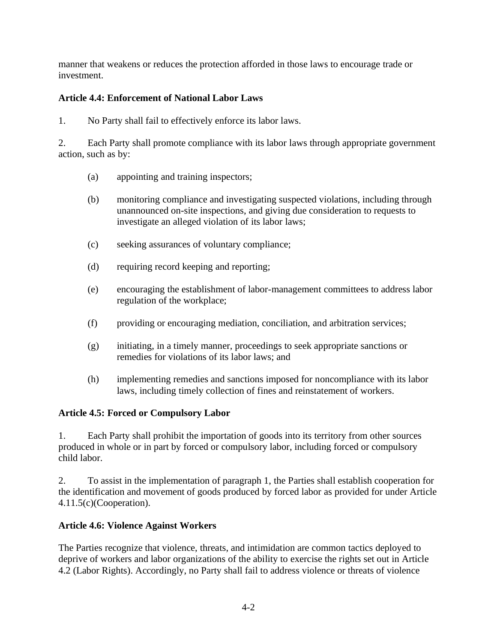manner that weakens or reduces the protection afforded in those laws to encourage trade or investment.

# **Article 4.4: Enforcement of National Labor Laws**

1. No Party shall fail to effectively enforce its labor laws.

2. Each Party shall promote compliance with its labor laws through appropriate government action, such as by:

- (a) appointing and training inspectors;
- (b) monitoring compliance and investigating suspected violations, including through unannounced on-site inspections, and giving due consideration to requests to investigate an alleged violation of its labor laws;
- (c) seeking assurances of voluntary compliance;
- (d) requiring record keeping and reporting;
- (e) encouraging the establishment of labor-management committees to address labor regulation of the workplace;
- (f) providing or encouraging mediation, conciliation, and arbitration services;
- (g) initiating, in a timely manner, proceedings to seek appropriate sanctions or remedies for violations of its labor laws; and
- (h) implementing remedies and sanctions imposed for noncompliance with its labor laws, including timely collection of fines and reinstatement of workers.

### **Article 4.5: Forced or Compulsory Labor**

1. Each Party shall prohibit the importation of goods into its territory from other sources produced in whole or in part by forced or compulsory labor, including forced or compulsory child labor.

2. To assist in the implementation of paragraph 1, the Parties shall establish cooperation for the identification and movement of goods produced by forced labor as provided for under Article 4.11.5(c)(Cooperation).

### **Article 4.6: Violence Against Workers**

The Parties recognize that violence, threats, and intimidation are common tactics deployed to deprive of workers and labor organizations of the ability to exercise the rights set out in Article 4.2 (Labor Rights). Accordingly, no Party shall fail to address violence or threats of violence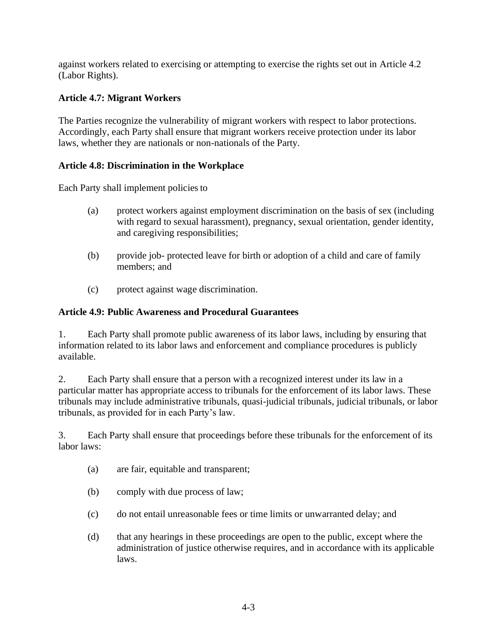against workers related to exercising or attempting to exercise the rights set out in Article 4.2 (Labor Rights).

# **Article 4.7: Migrant Workers**

The Parties recognize the vulnerability of migrant workers with respect to labor protections. Accordingly, each Party shall ensure that migrant workers receive protection under its labor laws, whether they are nationals or non-nationals of the Party.

### **Article 4.8: Discrimination in the Workplace**

Each Party shall implement policiesto

- (a) protect workers against employment discrimination on the basis of sex (including with regard to sexual harassment), pregnancy, sexual orientation, gender identity, and caregiving responsibilities;
- (b) provide job- protected leave for birth or adoption of a child and care of family members; and
- (c) protect against wage discrimination.

## **Article 4.9: Public Awareness and Procedural Guarantees**

1. Each Party shall promote public awareness of its labor laws, including by ensuring that information related to its labor laws and enforcement and compliance procedures is publicly available.

2. Each Party shall ensure that a person with a recognized interest under its law in a particular matter has appropriate access to tribunals for the enforcement of its labor laws. These tribunals may include administrative tribunals, quasi-judicial tribunals, judicial tribunals, or labor tribunals, as provided for in each Party's law.

3. Each Party shall ensure that proceedings before these tribunals for the enforcement of its labor laws:

- (a) are fair, equitable and transparent;
- (b) comply with due process of law;
- (c) do not entail unreasonable fees or time limits or unwarranted delay; and
- (d) that any hearings in these proceedings are open to the public, except where the administration of justice otherwise requires, and in accordance with its applicable laws.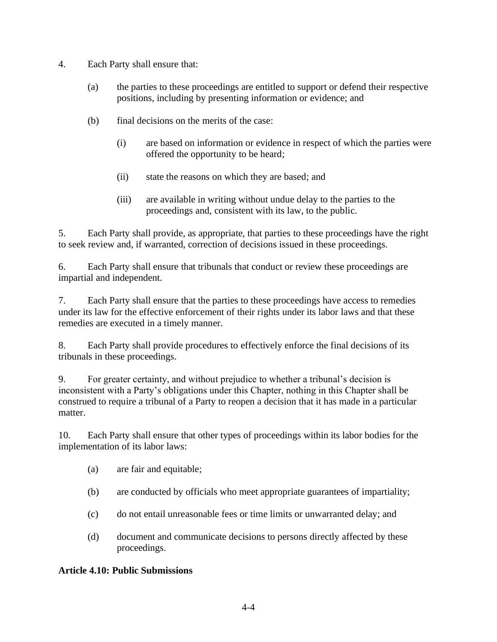- 4. Each Party shall ensure that:
	- (a) the parties to these proceedings are entitled to support or defend their respective positions, including by presenting information or evidence; and
	- (b) final decisions on the merits of the case:
		- (i) are based on information or evidence in respect of which the parties were offered the opportunity to be heard;
		- (ii) state the reasons on which they are based; and
		- (iii) are available in writing without undue delay to the parties to the proceedings and, consistent with its law, to the public.

5. Each Party shall provide, as appropriate, that parties to these proceedings have the right to seek review and, if warranted, correction of decisions issued in these proceedings.

6. Each Party shall ensure that tribunals that conduct or review these proceedings are impartial and independent.

7. Each Party shall ensure that the parties to these proceedings have access to remedies under its law for the effective enforcement of their rights under its labor laws and that these remedies are executed in a timely manner.

8. Each Party shall provide procedures to effectively enforce the final decisions of its tribunals in these proceedings.

9. For greater certainty, and without prejudice to whether a tribunal's decision is inconsistent with a Party's obligations under this Chapter, nothing in this Chapter shall be construed to require a tribunal of a Party to reopen a decision that it has made in a particular matter.

10. Each Party shall ensure that other types of proceedings within its labor bodies for the implementation of its labor laws:

- (a) are fair and equitable;
- (b) are conducted by officials who meet appropriate guarantees of impartiality;
- (c) do not entail unreasonable fees or time limits or unwarranted delay; and
- (d) document and communicate decisions to persons directly affected by these proceedings.

#### **Article 4.10: Public Submissions**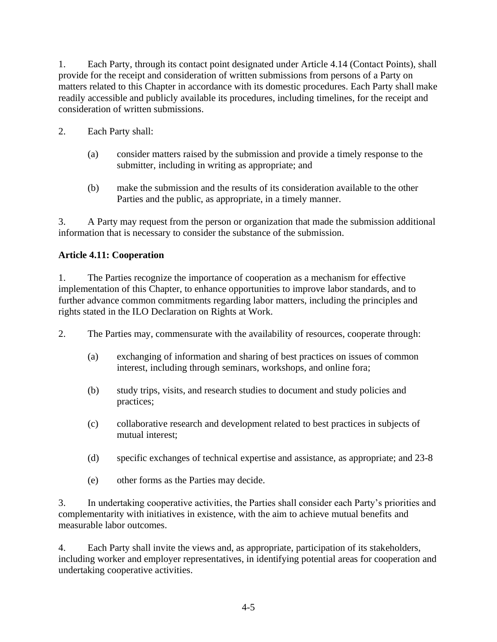1. Each Party, through its contact point designated under Article 4.14 (Contact Points), shall provide for the receipt and consideration of written submissions from persons of a Party on matters related to this Chapter in accordance with its domestic procedures. Each Party shall make readily accessible and publicly available its procedures, including timelines, for the receipt and consideration of written submissions.

- 2. Each Party shall:
	- (a) consider matters raised by the submission and provide a timely response to the submitter, including in writing as appropriate; and
	- (b) make the submission and the results of its consideration available to the other Parties and the public, as appropriate, in a timely manner.

3. A Party may request from the person or organization that made the submission additional information that is necessary to consider the substance of the submission.

## **Article 4.11: Cooperation**

1. The Parties recognize the importance of cooperation as a mechanism for effective implementation of this Chapter, to enhance opportunities to improve labor standards, and to further advance common commitments regarding labor matters, including the principles and rights stated in the ILO Declaration on Rights at Work*.* 

- 2. The Parties may, commensurate with the availability of resources, cooperate through:
	- (a) exchanging of information and sharing of best practices on issues of common interest, including through seminars, workshops, and online fora;
	- (b) study trips, visits, and research studies to document and study policies and practices;
	- (c) collaborative research and development related to best practices in subjects of mutual interest;
	- (d) specific exchanges of technical expertise and assistance, as appropriate; and 23-8
	- (e) other forms as the Parties may decide.

3. In undertaking cooperative activities, the Parties shall consider each Party's priorities and complementarity with initiatives in existence, with the aim to achieve mutual benefits and measurable labor outcomes.

4. Each Party shall invite the views and, as appropriate, participation of its stakeholders, including worker and employer representatives, in identifying potential areas for cooperation and undertaking cooperative activities.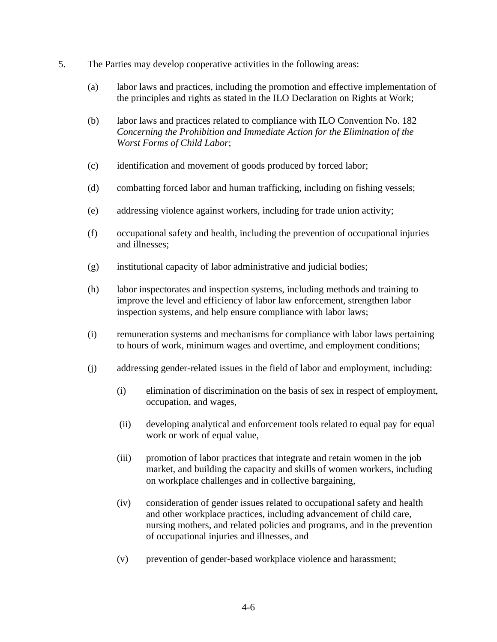- 5. The Parties may develop cooperative activities in the following areas:
	- (a) labor laws and practices, including the promotion and effective implementation of the principles and rights as stated in the ILO Declaration on Rights at Work;
	- (b) labor laws and practices related to compliance with ILO Convention No. 182 *Concerning the Prohibition and Immediate Action for the Elimination of the Worst Forms of Child Labor*;
	- (c) identification and movement of goods produced by forced labor;
	- (d) combatting forced labor and human trafficking, including on fishing vessels;
	- (e) addressing violence against workers, including for trade union activity;
	- (f) occupational safety and health, including the prevention of occupational injuries and illnesses;
	- (g) institutional capacity of labor administrative and judicial bodies;
	- (h) labor inspectorates and inspection systems, including methods and training to improve the level and efficiency of labor law enforcement, strengthen labor inspection systems, and help ensure compliance with labor laws;
	- (i) remuneration systems and mechanisms for compliance with labor laws pertaining to hours of work, minimum wages and overtime, and employment conditions;
	- (j) addressing gender-related issues in the field of labor and employment, including:
		- (i) elimination of discrimination on the basis of sex in respect of employment, occupation, and wages,
		- (ii) developing analytical and enforcement tools related to equal pay for equal work or work of equal value,
		- (iii) promotion of labor practices that integrate and retain women in the job market, and building the capacity and skills of women workers, including on workplace challenges and in collective bargaining,
		- (iv) consideration of gender issues related to occupational safety and health and other workplace practices, including advancement of child care, nursing mothers, and related policies and programs, and in the prevention of occupational injuries and illnesses, and
		- (v) prevention of gender-based workplace violence and harassment;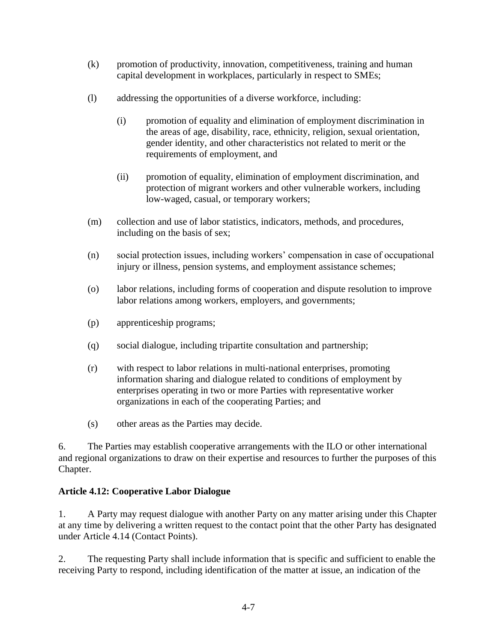- (k) promotion of productivity, innovation, competitiveness, training and human capital development in workplaces, particularly in respect to SMEs;
- (l) addressing the opportunities of a diverse workforce, including:
	- (i) promotion of equality and elimination of employment discrimination in the areas of age, disability, race, ethnicity, religion, sexual orientation, gender identity, and other characteristics not related to merit or the requirements of employment, and
	- (ii) promotion of equality, elimination of employment discrimination, and protection of migrant workers and other vulnerable workers, including low-waged, casual, or temporary workers;
- (m) collection and use of labor statistics, indicators, methods, and procedures, including on the basis of sex;
- (n) social protection issues, including workers' compensation in case of occupational injury or illness, pension systems, and employment assistance schemes;
- (o) labor relations, including forms of cooperation and dispute resolution to improve labor relations among workers, employers, and governments;
- (p) apprenticeship programs;
- (q) social dialogue, including tripartite consultation and partnership;
- (r) with respect to labor relations in multi-national enterprises, promoting information sharing and dialogue related to conditions of employment by enterprises operating in two or more Parties with representative worker organizations in each of the cooperating Parties; and
- (s) other areas as the Parties may decide.

6. The Parties may establish cooperative arrangements with the ILO or other international and regional organizations to draw on their expertise and resources to further the purposes of this Chapter.

# **Article 4.12: Cooperative Labor Dialogue**

1. A Party may request dialogue with another Party on any matter arising under this Chapter at any time by delivering a written request to the contact point that the other Party has designated under Article 4.14 (Contact Points).

2. The requesting Party shall include information that is specific and sufficient to enable the receiving Party to respond, including identification of the matter at issue, an indication of the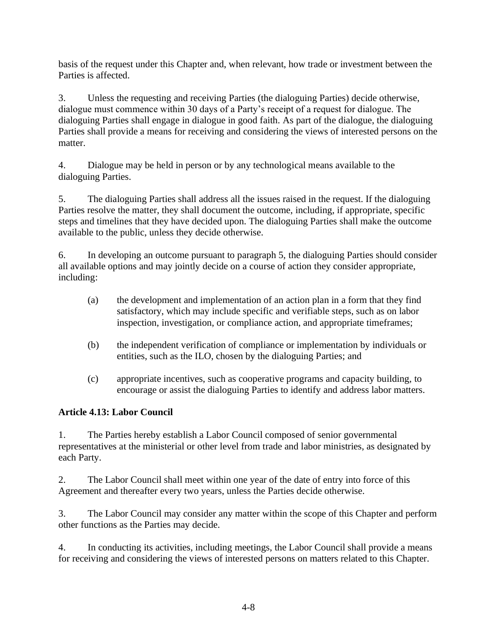basis of the request under this Chapter and, when relevant, how trade or investment between the Parties is affected.

3. Unless the requesting and receiving Parties (the dialoguing Parties) decide otherwise, dialogue must commence within 30 days of a Party's receipt of a request for dialogue. The dialoguing Parties shall engage in dialogue in good faith. As part of the dialogue, the dialoguing Parties shall provide a means for receiving and considering the views of interested persons on the matter.

4. Dialogue may be held in person or by any technological means available to the dialoguing Parties.

5. The dialoguing Parties shall address all the issues raised in the request. If the dialoguing Parties resolve the matter, they shall document the outcome, including, if appropriate, specific steps and timelines that they have decided upon. The dialoguing Parties shall make the outcome available to the public, unless they decide otherwise.

6. In developing an outcome pursuant to paragraph 5, the dialoguing Parties should consider all available options and may jointly decide on a course of action they consider appropriate, including:

- (a) the development and implementation of an action plan in a form that they find satisfactory, which may include specific and verifiable steps, such as on labor inspection, investigation, or compliance action, and appropriate timeframes;
- (b) the independent verification of compliance or implementation by individuals or entities, such as the ILO, chosen by the dialoguing Parties; and
- (c) appropriate incentives, such as cooperative programs and capacity building, to encourage or assist the dialoguing Parties to identify and address labor matters.

# **Article 4.13: Labor Council**

1. The Parties hereby establish a Labor Council composed of senior governmental representatives at the ministerial or other level from trade and labor ministries, as designated by each Party.

2. The Labor Council shall meet within one year of the date of entry into force of this Agreement and thereafter every two years, unless the Parties decide otherwise.

3. The Labor Council may consider any matter within the scope of this Chapter and perform other functions as the Parties may decide.

4. In conducting its activities, including meetings, the Labor Council shall provide a means for receiving and considering the views of interested persons on matters related to this Chapter.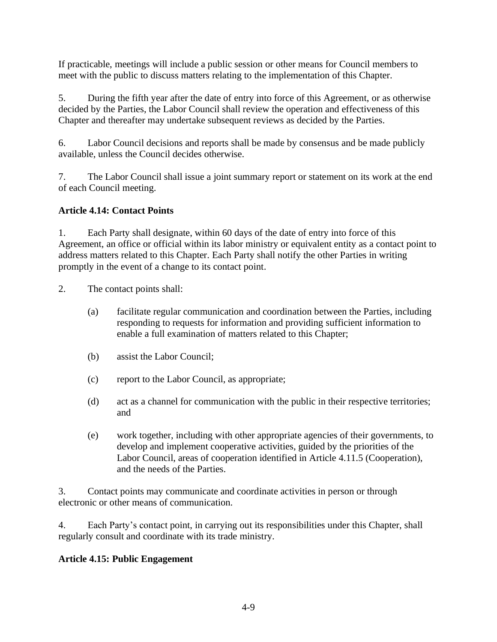If practicable, meetings will include a public session or other means for Council members to meet with the public to discuss matters relating to the implementation of this Chapter.

5. During the fifth year after the date of entry into force of this Agreement, or as otherwise decided by the Parties, the Labor Council shall review the operation and effectiveness of this Chapter and thereafter may undertake subsequent reviews as decided by the Parties.

6. Labor Council decisions and reports shall be made by consensus and be made publicly available, unless the Council decides otherwise.

7. The Labor Council shall issue a joint summary report or statement on its work at the end of each Council meeting.

# **Article 4.14: Contact Points**

1. Each Party shall designate, within 60 days of the date of entry into force of this Agreement, an office or official within its labor ministry or equivalent entity as a contact point to address matters related to this Chapter. Each Party shall notify the other Parties in writing promptly in the event of a change to its contact point.

- 2. The contact points shall:
	- (a) facilitate regular communication and coordination between the Parties, including responding to requests for information and providing sufficient information to enable a full examination of matters related to this Chapter;
	- (b) assist the Labor Council;
	- (c) report to the Labor Council, as appropriate;
	- (d) act as a channel for communication with the public in their respective territories; and
	- (e) work together, including with other appropriate agencies of their governments, to develop and implement cooperative activities, guided by the priorities of the Labor Council, areas of cooperation identified in Article 4.11.5 (Cooperation), and the needs of the Parties.

3. Contact points may communicate and coordinate activities in person or through electronic or other means of communication.

4. Each Party's contact point, in carrying out its responsibilities under this Chapter, shall regularly consult and coordinate with its trade ministry.

# **Article 4.15: Public Engagement**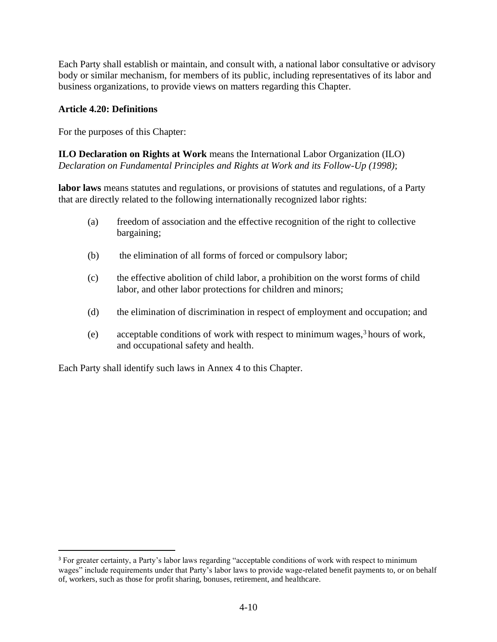Each Party shall establish or maintain, and consult with, a national labor consultative or advisory body or similar mechanism, for members of its public, including representatives of its labor and business organizations, to provide views on matters regarding this Chapter.

#### **Article 4.20: Definitions**

For the purposes of this Chapter:

**ILO Declaration on Rights at Work** means the International Labor Organization (ILO) *Declaration on Fundamental Principles and Rights at Work and its Follow-Up (1998)*;

**labor laws** means statutes and regulations, or provisions of statutes and regulations, of a Party that are directly related to the following internationally recognized labor rights:

- (a) freedom of association and the effective recognition of the right to collective bargaining;
- (b) the elimination of all forms of forced or compulsory labor;
- (c) the effective abolition of child labor, a prohibition on the worst forms of child labor, and other labor protections for children and minors;
- (d) the elimination of discrimination in respect of employment and occupation; and
- (e) acceptable conditions of work with respect to minimum wages, $3$  hours of work, and occupational safety and health.

Each Party shall identify such laws in Annex 4 to this Chapter.

<sup>&</sup>lt;sup>3</sup> For greater certainty, a Party's labor laws regarding "acceptable conditions of work with respect to minimum wages" include requirements under that Party's labor laws to provide wage-related benefit payments to, or on behalf of, workers, such as those for profit sharing, bonuses, retirement, and healthcare.